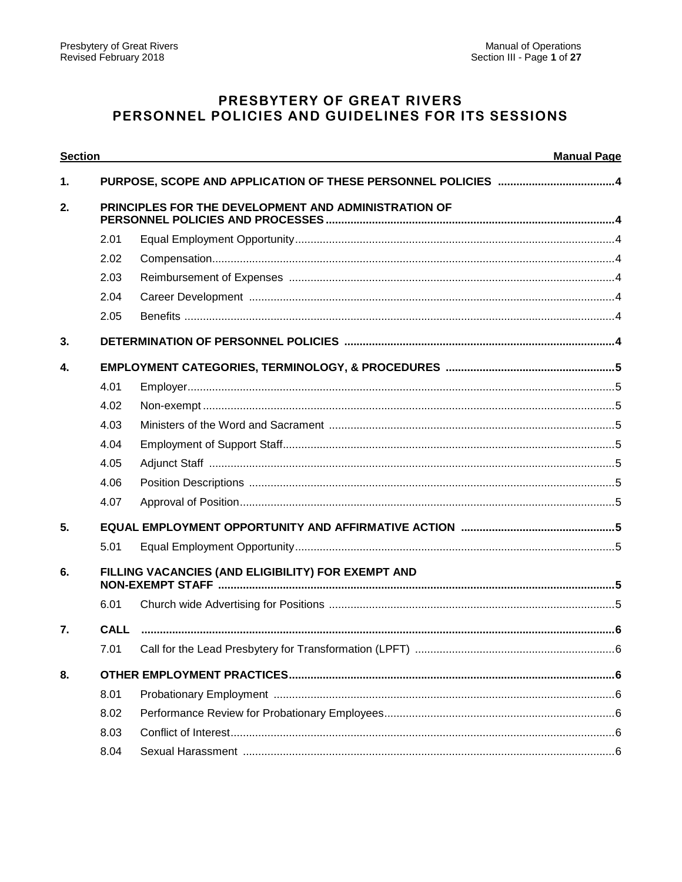# PRESBYTERY OF GREAT RIVERS PERSONNEL POLICIES AND GUIDELINES FOR ITS SESSIONS

| <b>Section</b><br><b>Manual Page</b> |      |                                                      |  |  |
|--------------------------------------|------|------------------------------------------------------|--|--|
| 1.                                   |      |                                                      |  |  |
| 2.                                   |      | PRINCIPLES FOR THE DEVELOPMENT AND ADMINISTRATION OF |  |  |
|                                      | 2.01 |                                                      |  |  |
|                                      | 2.02 |                                                      |  |  |
|                                      | 2.03 |                                                      |  |  |
|                                      | 2.04 |                                                      |  |  |
|                                      | 2.05 |                                                      |  |  |
| 3.                                   |      |                                                      |  |  |
| $\boldsymbol{4}$ .                   |      |                                                      |  |  |
|                                      | 4.01 |                                                      |  |  |
|                                      | 4.02 |                                                      |  |  |
|                                      | 4.03 |                                                      |  |  |
|                                      | 4.04 |                                                      |  |  |
|                                      | 4.05 |                                                      |  |  |
|                                      | 4.06 |                                                      |  |  |
|                                      | 4.07 |                                                      |  |  |
| 5.                                   |      |                                                      |  |  |
|                                      | 5.01 |                                                      |  |  |
| 6.                                   |      | FILLING VACANCIES (AND ELIGIBILITY) FOR EXEMPT AND   |  |  |
|                                      | 6.01 |                                                      |  |  |
| $\overline{7}$ .                     |      |                                                      |  |  |
|                                      |      |                                                      |  |  |
| 8.                                   |      |                                                      |  |  |
|                                      | 8.01 |                                                      |  |  |
|                                      | 8.02 |                                                      |  |  |
|                                      | 8.03 |                                                      |  |  |
|                                      | 8.04 |                                                      |  |  |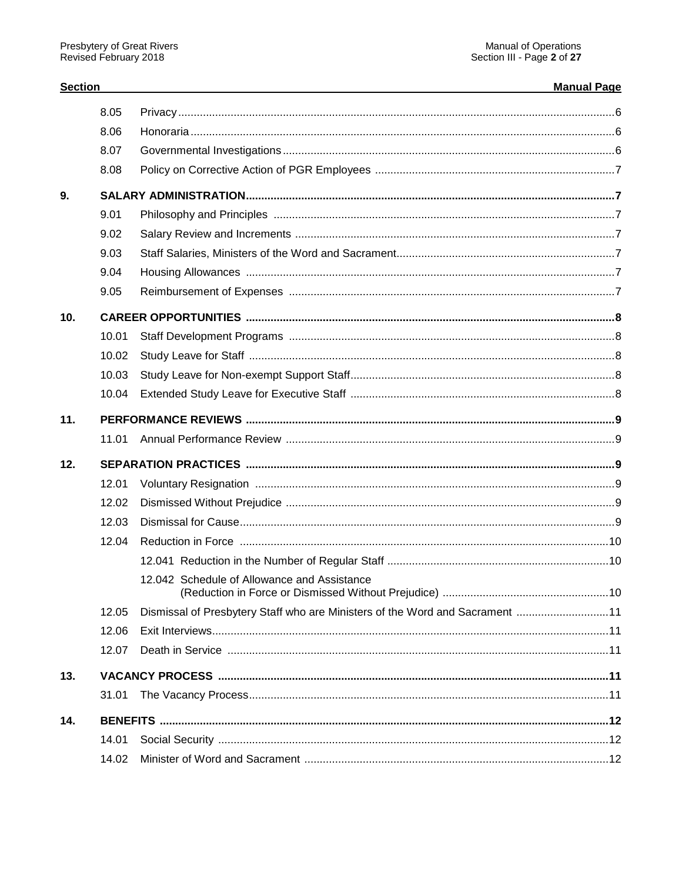**Section** 

# **Manual Page**

|     | 8.05  |                                                                              |  |
|-----|-------|------------------------------------------------------------------------------|--|
|     | 8.06  |                                                                              |  |
|     | 8.07  |                                                                              |  |
|     | 8.08  |                                                                              |  |
| 9.  |       |                                                                              |  |
|     | 9.01  |                                                                              |  |
|     | 9.02  |                                                                              |  |
|     | 9.03  |                                                                              |  |
|     | 9.04  |                                                                              |  |
|     | 9.05  |                                                                              |  |
| 10. |       |                                                                              |  |
|     | 10.01 |                                                                              |  |
|     | 10.02 |                                                                              |  |
|     | 10.03 |                                                                              |  |
|     | 10.04 |                                                                              |  |
| 11. |       |                                                                              |  |
|     | 11.01 |                                                                              |  |
| 12. |       |                                                                              |  |
|     | 12.01 |                                                                              |  |
|     | 12.02 |                                                                              |  |
|     | 12.03 |                                                                              |  |
|     | 12.04 |                                                                              |  |
|     |       |                                                                              |  |
|     |       | 12.042 Schedule of Allowance and Assistance                                  |  |
|     | 12.05 | Dismissal of Presbytery Staff who are Ministers of the Word and Sacrament 11 |  |
|     | 12.06 |                                                                              |  |
|     | 12.07 |                                                                              |  |
| 13. |       |                                                                              |  |
|     | 31.01 |                                                                              |  |
| 14. |       |                                                                              |  |
|     | 14.01 |                                                                              |  |
|     | 14.02 |                                                                              |  |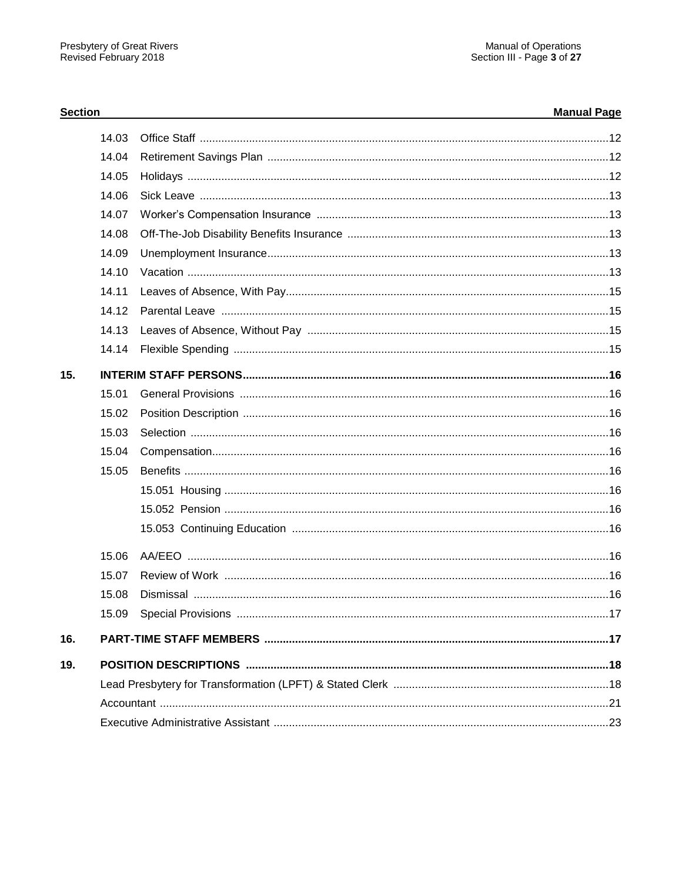# **Section**

# **Manual Page**

|     | 14.03 |  |
|-----|-------|--|
|     | 14.04 |  |
|     | 14.05 |  |
|     | 14.06 |  |
|     | 14.07 |  |
|     | 14.08 |  |
|     | 14.09 |  |
|     | 14.10 |  |
|     | 14.11 |  |
|     | 14.12 |  |
|     | 14.13 |  |
|     | 14.14 |  |
| 15. |       |  |
|     | 15.01 |  |
|     | 15.02 |  |
|     | 15.03 |  |
|     | 15.04 |  |
|     | 15.05 |  |
|     |       |  |
|     |       |  |
|     |       |  |
|     | 15.06 |  |
|     | 15.07 |  |
|     | 15.08 |  |
|     | 15.09 |  |
| 16. |       |  |
| 19. |       |  |
|     |       |  |
|     |       |  |
|     |       |  |
|     |       |  |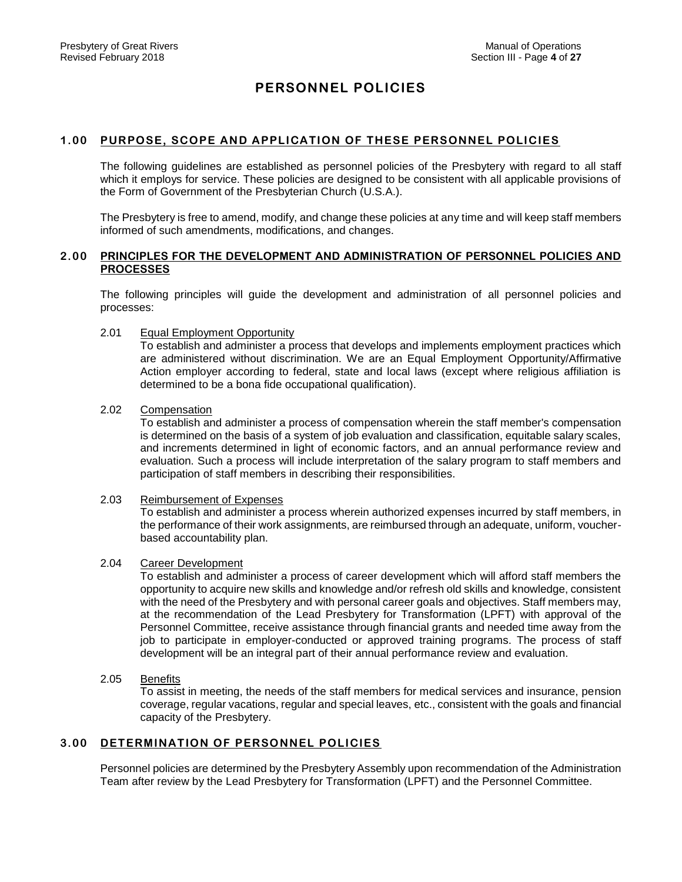# **PERSONNEL POLICIES**

# **1.00 PURPOSE, SCOPE AND APPLICATION OF THESE PERSONNEL POLICIES**

The following guidelines are established as personnel policies of the Presbytery with regard to all staff which it employs for service. These policies are designed to be consistent with all applicable provisions of the Form of Government of the Presbyterian Church (U.S.A.).

The Presbytery is free to amend, modify, and change these policies at any time and will keep staff members informed of such amendments, modifications, and changes.

# **2.00 PRINCIPLES FOR THE DEVELOPMENT AND ADMINISTRATION OF PERSONNEL POLICIES AND PROCESSES**

The following principles will guide the development and administration of all personnel policies and processes:

# 2.01 Equal Employment Opportunity

To establish and administer a process that develops and implements employment practices which are administered without discrimination. We are an Equal Employment Opportunity/Affirmative Action employer according to federal, state and local laws (except where religious affiliation is determined to be a bona fide occupational qualification).

## 2.02 Compensation

To establish and administer a process of compensation wherein the staff member's compensation is determined on the basis of a system of job evaluation and classification, equitable salary scales, and increments determined in light of economic factors, and an annual performance review and evaluation. Such a process will include interpretation of the salary program to staff members and participation of staff members in describing their responsibilities.

#### 2.03 Reimbursement of Expenses

To establish and administer a process wherein authorized expenses incurred by staff members, in the performance of their work assignments, are reimbursed through an adequate, uniform, voucherbased accountability plan.

# 2.04 Career Development

To establish and administer a process of career development which will afford staff members the opportunity to acquire new skills and knowledge and/or refresh old skills and knowledge, consistent with the need of the Presbytery and with personal career goals and objectives. Staff members may, at the recommendation of the Lead Presbytery for Transformation (LPFT) with approval of the Personnel Committee, receive assistance through financial grants and needed time away from the job to participate in employer-conducted or approved training programs. The process of staff development will be an integral part of their annual performance review and evaluation.

2.05 Benefits

To assist in meeting, the needs of the staff members for medical services and insurance, pension coverage, regular vacations, regular and special leaves, etc., consistent with the goals and financial capacity of the Presbytery.

# **3.00 DETERMINATION OF PERSONNEL POLICIES**

Personnel policies are determined by the Presbytery Assembly upon recommendation of the Administration Team after review by the Lead Presbytery for Transformation (LPFT) and the Personnel Committee.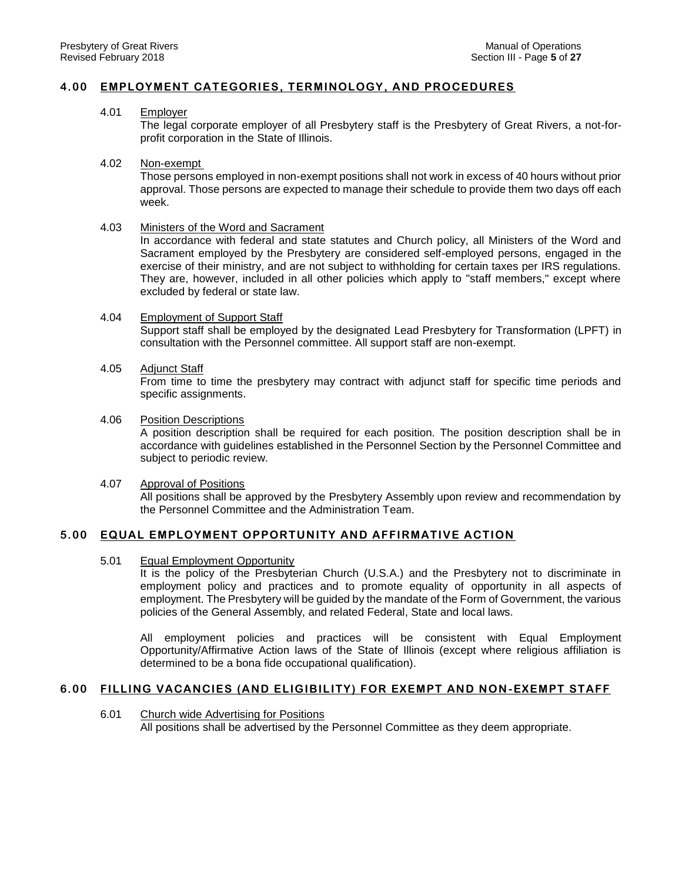# **4.00 EMPLOYMENT CATEGORIES, TERMINOLOGY, AND PROCEDURES**

## 4.01 Employer

The legal corporate employer of all Presbytery staff is the Presbytery of Great Rivers, a not-forprofit corporation in the State of Illinois.

#### 4.02 Non-exempt

Those persons employed in non-exempt positions shall not work in excess of 40 hours without prior approval. Those persons are expected to manage their schedule to provide them two days off each week.

### 4.03 Ministers of the Word and Sacrament

In accordance with federal and state statutes and Church policy, all Ministers of the Word and Sacrament employed by the Presbytery are considered self-employed persons, engaged in the exercise of their ministry, and are not subject to withholding for certain taxes per IRS regulations. They are, however, included in all other policies which apply to "staff members," except where excluded by federal or state law.

### 4.04 Employment of Support Staff

Support staff shall be employed by the designated Lead Presbytery for Transformation (LPFT) in consultation with the Personnel committee. All support staff are non-exempt.

# 4.05 Adjunct Staff

From time to time the presbytery may contract with adjunct staff for specific time periods and specific assignments.

### 4.06 Position Descriptions

A position description shall be required for each position. The position description shall be in accordance with guidelines established in the Personnel Section by the Personnel Committee and subject to periodic review.

# 4.07 Approval of Positions

All positions shall be approved by the Presbytery Assembly upon review and recommendation by the Personnel Committee and the Administration Team.

# **5.00 EQUAL EMPLOYMENT OPPORTUNITY AND AFFIRMATIVE ACTION**

# 5.01 Equal Employment Opportunity

It is the policy of the Presbyterian Church (U.S.A.) and the Presbytery not to discriminate in employment policy and practices and to promote equality of opportunity in all aspects of employment. The Presbytery will be guided by the mandate of the Form of Government, the various policies of the General Assembly, and related Federal, State and local laws.

All employment policies and practices will be consistent with Equal Employment Opportunity/Affirmative Action laws of the State of Illinois (except where religious affiliation is determined to be a bona fide occupational qualification).

# **6.00 FILLING VACANCIES (AND ELIGIBILITY) FOR EXEMPT AND NON -EXEMPT STAFF**

6.01 Church wide Advertising for Positions All positions shall be advertised by the Personnel Committee as they deem appropriate.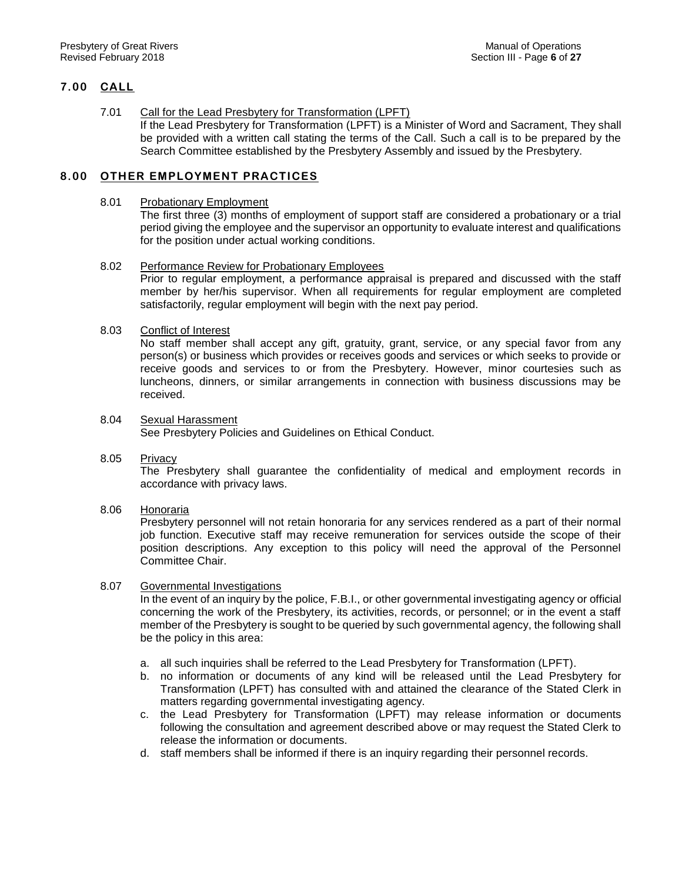# **7.00 CALL**

# 7.01 Call for the Lead Presbytery for Transformation (LPFT)

If the Lead Presbytery for Transformation (LPFT) is a Minister of Word and Sacrament, They shall be provided with a written call stating the terms of the Call. Such a call is to be prepared by the Search Committee established by the Presbytery Assembly and issued by the Presbytery.

# **8.00 OTHER EMPLOYMENT PRACTICES**

## 8.01 Probationary Employment

The first three (3) months of employment of support staff are considered a probationary or a trial period giving the employee and the supervisor an opportunity to evaluate interest and qualifications for the position under actual working conditions.

# 8.02 Performance Review for Probationary Employees

Prior to regular employment, a performance appraisal is prepared and discussed with the staff member by her/his supervisor. When all requirements for regular employment are completed satisfactorily, regular employment will begin with the next pay period.

# 8.03 Conflict of Interest

No staff member shall accept any gift, gratuity, grant, service, or any special favor from any person(s) or business which provides or receives goods and services or which seeks to provide or receive goods and services to or from the Presbytery. However, minor courtesies such as luncheons, dinners, or similar arrangements in connection with business discussions may be received.

# 8.04 Sexual Harassment

See Presbytery Policies and Guidelines on Ethical Conduct.

8.05 Privacy

The Presbytery shall guarantee the confidentiality of medical and employment records in accordance with privacy laws.

# 8.06 Honoraria

Presbytery personnel will not retain honoraria for any services rendered as a part of their normal job function. Executive staff may receive remuneration for services outside the scope of their position descriptions. Any exception to this policy will need the approval of the Personnel Committee Chair.

# 8.07 Governmental Investigations

In the event of an inquiry by the police, F.B.I., or other governmental investigating agency or official concerning the work of the Presbytery, its activities, records, or personnel; or in the event a staff member of the Presbytery is sought to be queried by such governmental agency, the following shall be the policy in this area:

- a. all such inquiries shall be referred to the Lead Presbytery for Transformation (LPFT).
- b. no information or documents of any kind will be released until the Lead Presbytery for Transformation (LPFT) has consulted with and attained the clearance of the Stated Clerk in matters regarding governmental investigating agency.
- c. the Lead Presbytery for Transformation (LPFT) may release information or documents following the consultation and agreement described above or may request the Stated Clerk to release the information or documents.
- d. staff members shall be informed if there is an inquiry regarding their personnel records.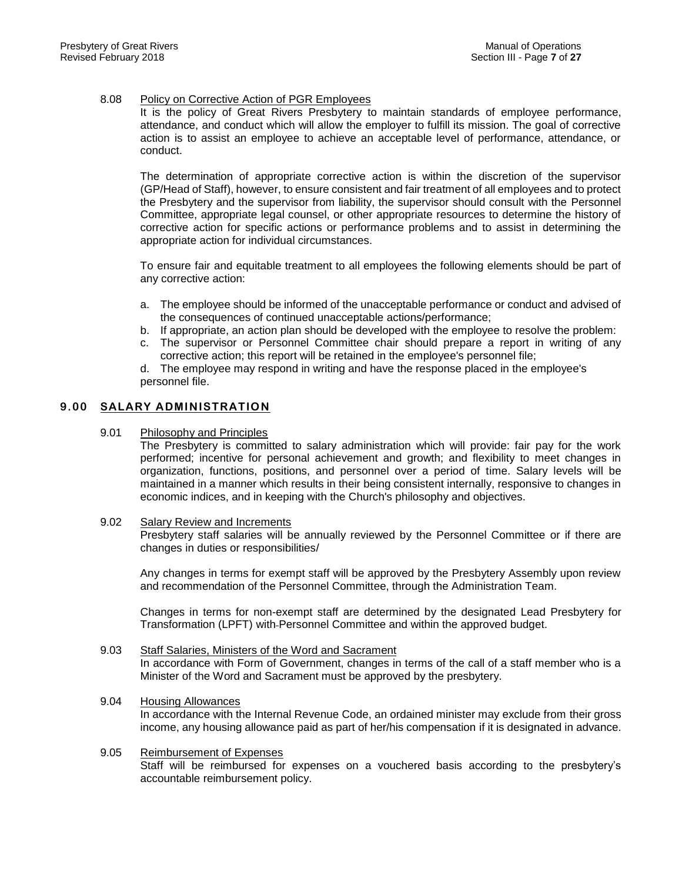## 8.08 Policy on Corrective Action of PGR Employees

It is the policy of Great Rivers Presbytery to maintain standards of employee performance, attendance, and conduct which will allow the employer to fulfill its mission. The goal of corrective action is to assist an employee to achieve an acceptable level of performance, attendance, or conduct.

The determination of appropriate corrective action is within the discretion of the supervisor (GP/Head of Staff), however, to ensure consistent and fair treatment of all employees and to protect the Presbytery and the supervisor from liability, the supervisor should consult with the Personnel Committee, appropriate legal counsel, or other appropriate resources to determine the history of corrective action for specific actions or performance problems and to assist in determining the appropriate action for individual circumstances.

To ensure fair and equitable treatment to all employees the following elements should be part of any corrective action:

- a. The employee should be informed of the unacceptable performance or conduct and advised of the consequences of continued unacceptable actions/performance;
- b. If appropriate, an action plan should be developed with the employee to resolve the problem:
- c. The supervisor or Personnel Committee chair should prepare a report in writing of any corrective action; this report will be retained in the employee's personnel file;

d. The employee may respond in writing and have the response placed in the employee's personnel file.

# **9.00 SALARY ADMINISTRATION**

### 9.01 Philosophy and Principles

The Presbytery is committed to salary administration which will provide: fair pay for the work performed; incentive for personal achievement and growth; and flexibility to meet changes in organization, functions, positions, and personnel over a period of time. Salary levels will be maintained in a manner which results in their being consistent internally, responsive to changes in economic indices, and in keeping with the Church's philosophy and objectives.

#### 9.02 Salary Review and Increments

Presbytery staff salaries will be annually reviewed by the Personnel Committee or if there are changes in duties or responsibilities/

Any changes in terms for exempt staff will be approved by the Presbytery Assembly upon review and recommendation of the Personnel Committee, through the Administration Team.

Changes in terms for non-exempt staff are determined by the designated Lead Presbytery for Transformation (LPFT) with Personnel Committee and within the approved budget.

#### 9.03 Staff Salaries, Ministers of the Word and Sacrament In accordance with Form of Government, changes in terms of the call of a staff member who is a Minister of the Word and Sacrament must be approved by the presbytery.

- 9.04 Housing Allowances In accordance with the Internal Revenue Code, an ordained minister may exclude from their gross income, any housing allowance paid as part of her/his compensation if it is designated in advance.
- 9.05 Reimbursement of Expenses Staff will be reimbursed for expenses on a vouchered basis according to the presbytery's accountable reimbursement policy.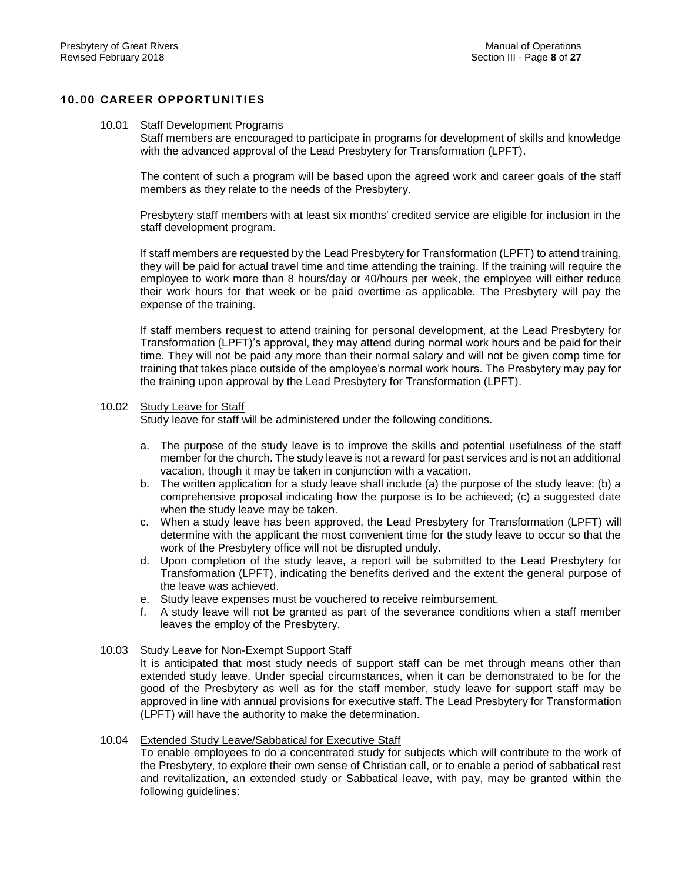# **10.00 CAREER OPPORTUNITIES**

#### 10.01 Staff Development Programs

Staff members are encouraged to participate in programs for development of skills and knowledge with the advanced approval of the Lead Presbytery for Transformation (LPFT).

The content of such a program will be based upon the agreed work and career goals of the staff members as they relate to the needs of the Presbytery.

Presbytery staff members with at least six months' credited service are eligible for inclusion in the staff development program.

If staff members are requested by the Lead Presbytery for Transformation (LPFT) to attend training, they will be paid for actual travel time and time attending the training. If the training will require the employee to work more than 8 hours/day or 40/hours per week, the employee will either reduce their work hours for that week or be paid overtime as applicable. The Presbytery will pay the expense of the training.

If staff members request to attend training for personal development, at the Lead Presbytery for Transformation (LPFT)'s approval, they may attend during normal work hours and be paid for their time. They will not be paid any more than their normal salary and will not be given comp time for training that takes place outside of the employee's normal work hours. The Presbytery may pay for the training upon approval by the Lead Presbytery for Transformation (LPFT).

### 10.02 Study Leave for Staff

Study leave for staff will be administered under the following conditions.

- a. The purpose of the study leave is to improve the skills and potential usefulness of the staff member for the church. The study leave is not a reward for past services and is not an additional vacation, though it may be taken in conjunction with a vacation.
- b. The written application for a study leave shall include (a) the purpose of the study leave; (b) a comprehensive proposal indicating how the purpose is to be achieved; (c) a suggested date when the study leave may be taken.
- c. When a study leave has been approved, the Lead Presbytery for Transformation (LPFT) will determine with the applicant the most convenient time for the study leave to occur so that the work of the Presbytery office will not be disrupted unduly.
- d. Upon completion of the study leave, a report will be submitted to the Lead Presbytery for Transformation (LPFT), indicating the benefits derived and the extent the general purpose of the leave was achieved.
- e. Study leave expenses must be vouchered to receive reimbursement.
- f. A study leave will not be granted as part of the severance conditions when a staff member leaves the employ of the Presbytery.

#### 10.03 Study Leave for Non-Exempt Support Staff

It is anticipated that most study needs of support staff can be met through means other than extended study leave. Under special circumstances, when it can be demonstrated to be for the good of the Presbytery as well as for the staff member, study leave for support staff may be approved in line with annual provisions for executive staff. The Lead Presbytery for Transformation (LPFT) will have the authority to make the determination.

# 10.04 Extended Study Leave/Sabbatical for Executive Staff

To enable employees to do a concentrated study for subjects which will contribute to the work of the Presbytery, to explore their own sense of Christian call, or to enable a period of sabbatical rest and revitalization, an extended study or Sabbatical leave, with pay, may be granted within the following guidelines: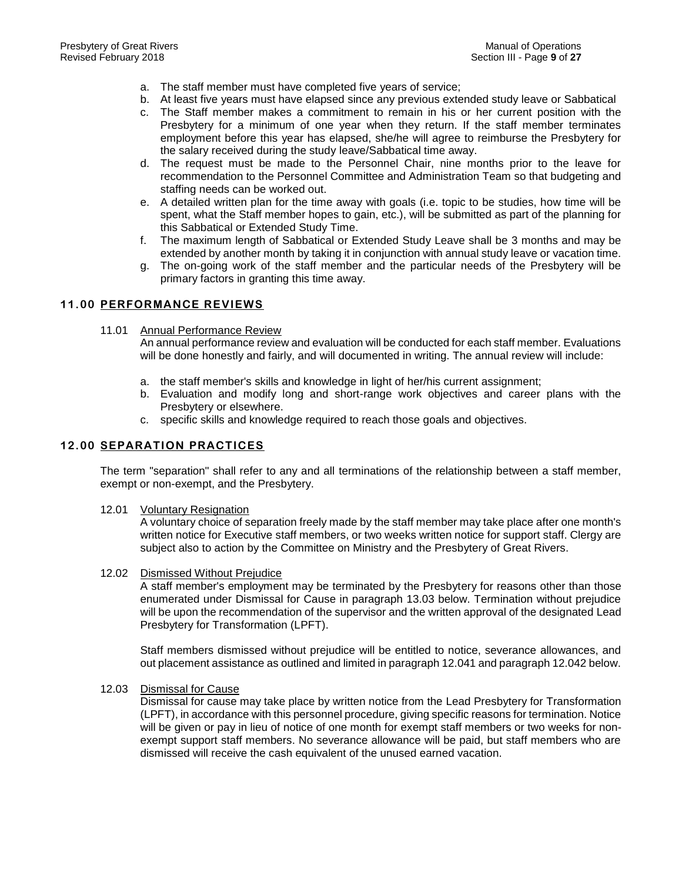- a. The staff member must have completed five years of service;
- b. At least five years must have elapsed since any previous extended study leave or Sabbatical
- c. The Staff member makes a commitment to remain in his or her current position with the Presbytery for a minimum of one year when they return. If the staff member terminates employment before this year has elapsed, she/he will agree to reimburse the Presbytery for the salary received during the study leave/Sabbatical time away.
- d. The request must be made to the Personnel Chair, nine months prior to the leave for recommendation to the Personnel Committee and Administration Team so that budgeting and staffing needs can be worked out.
- e. A detailed written plan for the time away with goals (i.e. topic to be studies, how time will be spent, what the Staff member hopes to gain, etc.), will be submitted as part of the planning for this Sabbatical or Extended Study Time.
- f. The maximum length of Sabbatical or Extended Study Leave shall be 3 months and may be extended by another month by taking it in conjunction with annual study leave or vacation time.
- g. The on-going work of the staff member and the particular needs of the Presbytery will be primary factors in granting this time away.

# **11.00 PERFORMANCE REVIEWS**

11.01 Annual Performance Review

An annual performance review and evaluation will be conducted for each staff member. Evaluations will be done honestly and fairly, and will documented in writing. The annual review will include:

- a. the staff member's skills and knowledge in light of her/his current assignment;
- b. Evaluation and modify long and short-range work objectives and career plans with the Presbytery or elsewhere.
- c. specific skills and knowledge required to reach those goals and objectives.

## **12.00 SEPARATION PRACTICES**

The term "separation" shall refer to any and all terminations of the relationship between a staff member, exempt or non-exempt, and the Presbytery.

12.01 Voluntary Resignation

A voluntary choice of separation freely made by the staff member may take place after one month's written notice for Executive staff members, or two weeks written notice for support staff. Clergy are subject also to action by the Committee on Ministry and the Presbytery of Great Rivers.

12.02 Dismissed Without Prejudice

A staff member's employment may be terminated by the Presbytery for reasons other than those enumerated under Dismissal for Cause in paragraph 13.03 below. Termination without prejudice will be upon the recommendation of the supervisor and the written approval of the designated Lead Presbytery for Transformation (LPFT).

Staff members dismissed without prejudice will be entitled to notice, severance allowances, and out placement assistance as outlined and limited in paragraph 12.041 and paragraph 12.042 below.

12.03 Dismissal for Cause

Dismissal for cause may take place by written notice from the Lead Presbytery for Transformation (LPFT), in accordance with this personnel procedure, giving specific reasons for termination. Notice will be given or pay in lieu of notice of one month for exempt staff members or two weeks for nonexempt support staff members. No severance allowance will be paid, but staff members who are dismissed will receive the cash equivalent of the unused earned vacation.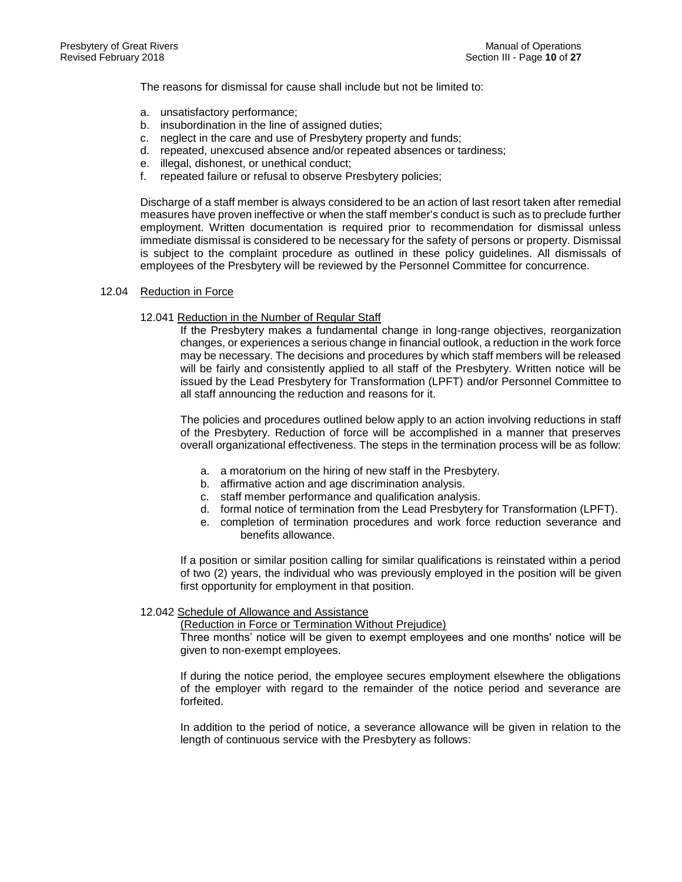The reasons for dismissal for cause shall include but not be limited to:

- a. unsatisfactory performance;
- b. insubordination in the line of assigned duties;
- c. neglect in the care and use of Presbytery property and funds;
- d. repeated, unexcused absence and/or repeated absences or tardiness;
- e. illegal, dishonest, or unethical conduct;
- f. repeated failure or refusal to observe Presbytery policies;

Discharge of a staff member is always considered to be an action of last resort taken after remedial measures have proven ineffective or when the staff member's conduct is such as to preclude further employment. Written documentation is required prior to recommendation for dismissal unless immediate dismissal is considered to be necessary for the safety of persons or property. Dismissal is subject to the complaint procedure as outlined in these policy guidelines. All dismissals of employees of the Presbytery will be reviewed by the Personnel Committee for concurrence.

#### 12.04 Reduction in Force

### 12.041 Reduction in the Number of Regular Staff

If the Presbytery makes a fundamental change in long-range objectives, reorganization changes, or experiences a serious change in financial outlook, a reduction in the work force may be necessary. The decisions and procedures by which staff members will be released will be fairly and consistently applied to all staff of the Presbytery. Written notice will be issued by the Lead Presbytery for Transformation (LPFT) and/or Personnel Committee to all staff announcing the reduction and reasons for it.

The policies and procedures outlined below apply to an action involving reductions in staff of the Presbytery. Reduction of force will be accomplished in a manner that preserves overall organizational effectiveness. The steps in the termination process will be as follow:

- a. a moratorium on the hiring of new staff in the Presbytery.
- b. affirmative action and age discrimination analysis.
- c. staff member performance and qualification analysis.
- d. formal notice of termination from the Lead Presbytery for Transformation (LPFT).
- e. completion of termination procedures and work force reduction severance and benefits allowance.

If a position or similar position calling for similar qualifications is reinstated within a period of two (2) years, the individual who was previously employed in the position will be given first opportunity for employment in that position.

#### 12.042 Schedule of Allowance and Assistance

(Reduction in Force or Termination Without Prejudice)

Three months' notice will be given to exempt employees and one months' notice will be given to non-exempt employees.

If during the notice period, the employee secures employment elsewhere the obligations of the employer with regard to the remainder of the notice period and severance are forfeited.

In addition to the period of notice, a severance allowance will be given in relation to the length of continuous service with the Presbytery as follows: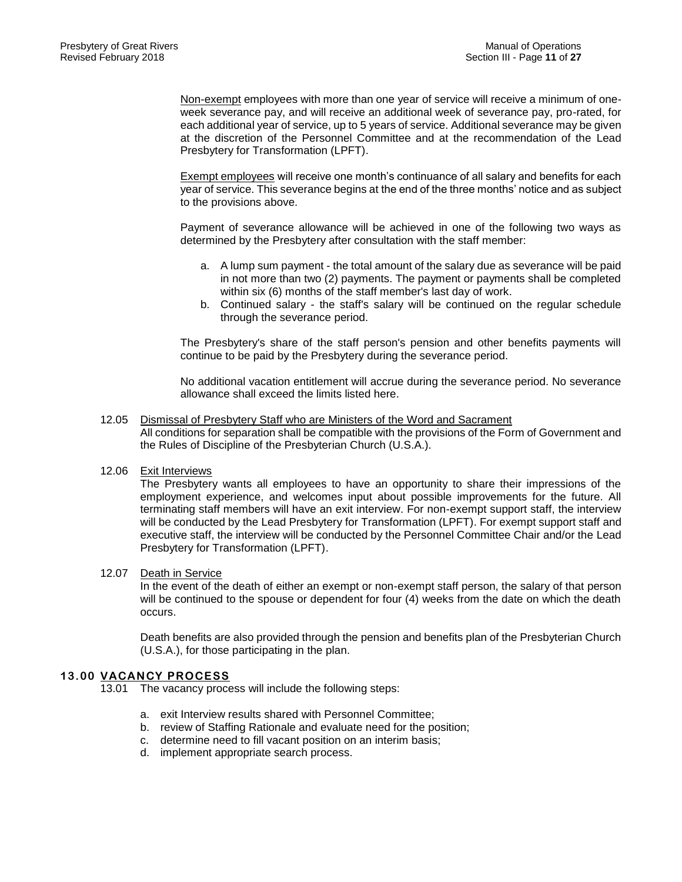Non-exempt employees with more than one year of service will receive a minimum of oneweek severance pay, and will receive an additional week of severance pay, pro-rated, for each additional year of service, up to 5 years of service. Additional severance may be given at the discretion of the Personnel Committee and at the recommendation of the Lead Presbytery for Transformation (LPFT).

Exempt employees will receive one month's continuance of all salary and benefits for each year of service. This severance begins at the end of the three months' notice and as subject to the provisions above.

Payment of severance allowance will be achieved in one of the following two ways as determined by the Presbytery after consultation with the staff member:

- a. A lump sum payment the total amount of the salary due as severance will be paid in not more than two (2) payments. The payment or payments shall be completed within six (6) months of the staff member's last day of work.
- b. Continued salary the staff's salary will be continued on the regular schedule through the severance period.

The Presbytery's share of the staff person's pension and other benefits payments will continue to be paid by the Presbytery during the severance period.

No additional vacation entitlement will accrue during the severance period. No severance allowance shall exceed the limits listed here.

12.05 Dismissal of Presbytery Staff who are Ministers of the Word and Sacrament All conditions for separation shall be compatible with the provisions of the Form of Government and the Rules of Discipline of the Presbyterian Church (U.S.A.).

# 12.06 Exit Interviews

The Presbytery wants all employees to have an opportunity to share their impressions of the employment experience, and welcomes input about possible improvements for the future. All terminating staff members will have an exit interview. For non-exempt support staff, the interview will be conducted by the Lead Presbytery for Transformation (LPFT). For exempt support staff and executive staff, the interview will be conducted by the Personnel Committee Chair and/or the Lead Presbytery for Transformation (LPFT).

#### 12.07 Death in Service

In the event of the death of either an exempt or non-exempt staff person, the salary of that person will be continued to the spouse or dependent for four (4) weeks from the date on which the death occurs.

Death benefits are also provided through the pension and benefits plan of the Presbyterian Church (U.S.A.), for those participating in the plan.

# **13.00 VACANCY PROCESS**

13.01 The vacancy process will include the following steps:

- a. exit Interview results shared with Personnel Committee;
- b. review of Staffing Rationale and evaluate need for the position;
- c. determine need to fill vacant position on an interim basis;
- d. implement appropriate search process.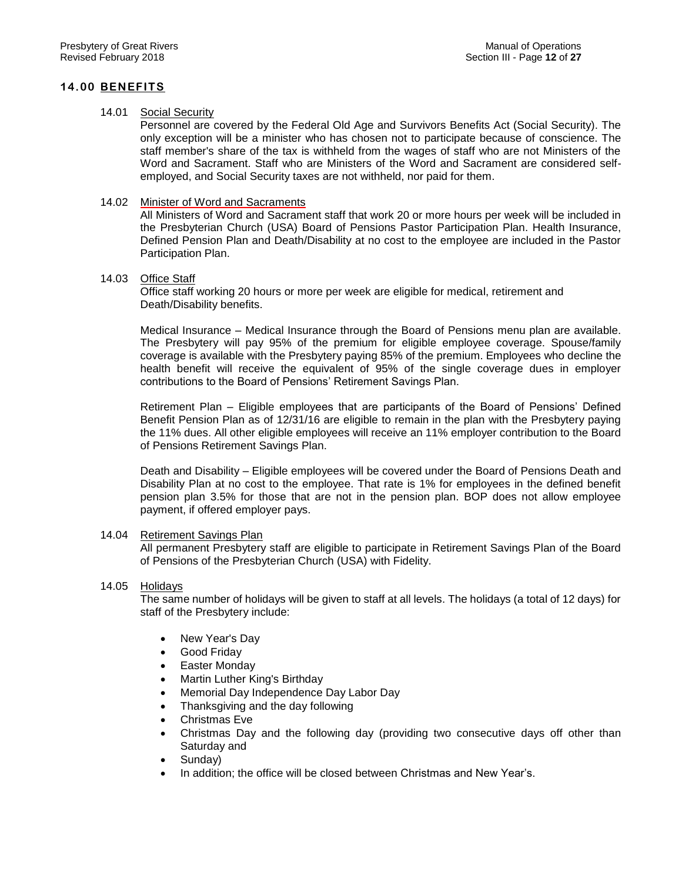# **14.00 BENEFITS**

## 14.01 Social Security

Personnel are covered by the Federal Old Age and Survivors Benefits Act (Social Security). The only exception will be a minister who has chosen not to participate because of conscience. The staff member's share of the tax is withheld from the wages of staff who are not Ministers of the Word and Sacrament. Staff who are Ministers of the Word and Sacrament are considered selfemployed, and Social Security taxes are not withheld, nor paid for them.

### 14.02 Minister of Word and Sacraments

All Ministers of Word and Sacrament staff that work 20 or more hours per week will be included in the Presbyterian Church (USA) Board of Pensions Pastor Participation Plan. Health Insurance, Defined Pension Plan and Death/Disability at no cost to the employee are included in the Pastor Participation Plan.

### 14.03 Office Staff

Office staff working 20 hours or more per week are eligible for medical, retirement and Death/Disability benefits.

Medical Insurance – Medical Insurance through the Board of Pensions menu plan are available. The Presbytery will pay 95% of the premium for eligible employee coverage. Spouse/family coverage is available with the Presbytery paying 85% of the premium. Employees who decline the health benefit will receive the equivalent of 95% of the single coverage dues in employer contributions to the Board of Pensions' Retirement Savings Plan.

Retirement Plan – Eligible employees that are participants of the Board of Pensions' Defined Benefit Pension Plan as of 12/31/16 are eligible to remain in the plan with the Presbytery paying the 11% dues. All other eligible employees will receive an 11% employer contribution to the Board of Pensions Retirement Savings Plan.

Death and Disability – Eligible employees will be covered under the Board of Pensions Death and Disability Plan at no cost to the employee. That rate is 1% for employees in the defined benefit pension plan 3.5% for those that are not in the pension plan. BOP does not allow employee payment, if offered employer pays.

# 14.04 Retirement Savings Plan

All permanent Presbytery staff are eligible to participate in Retirement Savings Plan of the Board of Pensions of the Presbyterian Church (USA) with Fidelity.

# 14.05 Holidays

The same number of holidays will be given to staff at all levels. The holidays (a total of 12 days) for staff of the Presbytery include:

- New Year's Day
- Good Friday
- Easter Monday
- Martin Luther King's Birthday
- Memorial Day Independence Day Labor Day
- Thanksgiving and the day following
- Christmas Eve
- Christmas Day and the following day (providing two consecutive days off other than Saturday and
- Sunday)
- In addition; the office will be closed between Christmas and New Year's.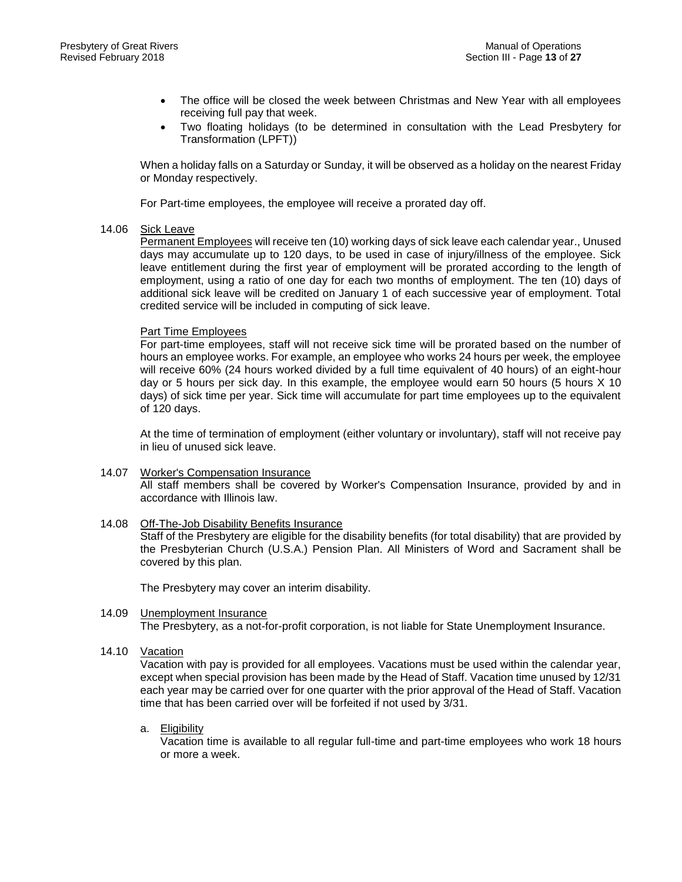- The office will be closed the week between Christmas and New Year with all employees receiving full pay that week.
- Two floating holidays (to be determined in consultation with the Lead Presbytery for Transformation (LPFT))

When a holiday falls on a Saturday or Sunday, it will be observed as a holiday on the nearest Friday or Monday respectively.

For Part-time employees, the employee will receive a prorated day off.

#### 14.06 Sick Leave

Permanent Employees will receive ten (10) working days of sick leave each calendar year., Unused days may accumulate up to 120 days, to be used in case of injury/illness of the employee. Sick leave entitlement during the first year of employment will be prorated according to the length of employment, using a ratio of one day for each two months of employment. The ten (10) days of additional sick leave will be credited on January 1 of each successive year of employment. Total credited service will be included in computing of sick leave.

### Part Time Employees

For part-time employees, staff will not receive sick time will be prorated based on the number of hours an employee works. For example, an employee who works 24 hours per week, the employee will receive 60% (24 hours worked divided by a full time equivalent of 40 hours) of an eight-hour day or 5 hours per sick day. In this example, the employee would earn 50 hours (5 hours X 10 days) of sick time per year. Sick time will accumulate for part time employees up to the equivalent of 120 days.

At the time of termination of employment (either voluntary or involuntary), staff will not receive pay in lieu of unused sick leave.

# 14.07 Worker's Compensation Insurance All staff members shall be covered by Worker's Compensation Insurance, provided by and in accordance with Illinois law.

# 14.08 Off-The-Job Disability Benefits Insurance

Staff of the Presbytery are eligible for the disability benefits (for total disability) that are provided by the Presbyterian Church (U.S.A.) Pension Plan. All Ministers of Word and Sacrament shall be covered by this plan.

The Presbytery may cover an interim disability.

#### 14.09 Unemployment Insurance The Presbytery, as a not-for-profit corporation, is not liable for State Unemployment Insurance.

14.10 Vacation

Vacation with pay is provided for all employees. Vacations must be used within the calendar year, except when special provision has been made by the Head of Staff. Vacation time unused by 12/31 each year may be carried over for one quarter with the prior approval of the Head of Staff. Vacation time that has been carried over will be forfeited if not used by 3/31.

a. Eligibility

Vacation time is available to all regular full-time and part-time employees who work 18 hours or more a week.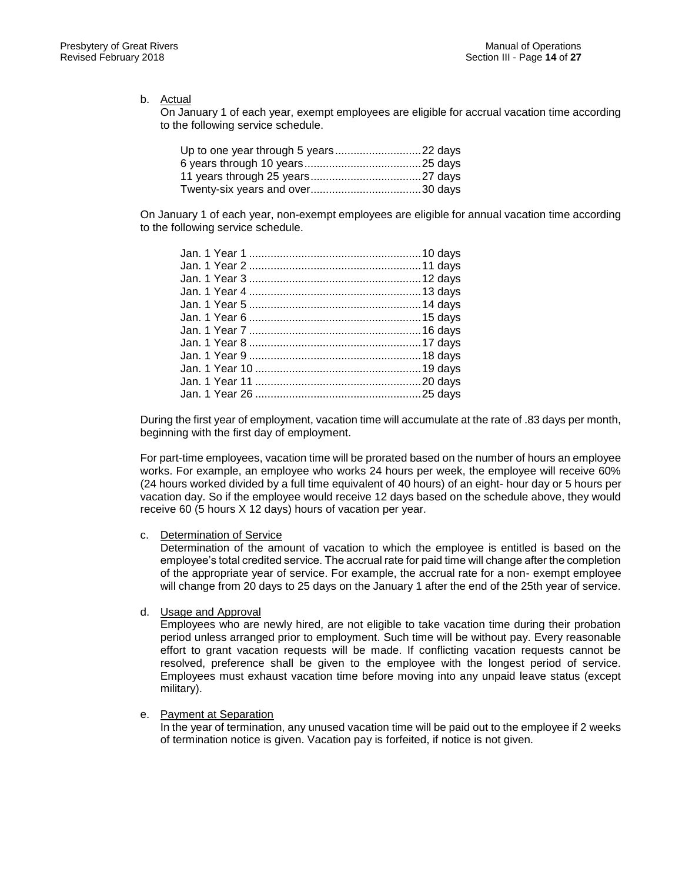b. Actual

On January 1 of each year, exempt employees are eligible for accrual vacation time according to the following service schedule.

On January 1 of each year, non-exempt employees are eligible for annual vacation time according to the following service schedule.

During the first year of employment, vacation time will accumulate at the rate of .83 days per month, beginning with the first day of employment.

For part-time employees, vacation time will be prorated based on the number of hours an employee works. For example, an employee who works 24 hours per week, the employee will receive 60% (24 hours worked divided by a full time equivalent of 40 hours) of an eight- hour day or 5 hours per vacation day. So if the employee would receive 12 days based on the schedule above, they would receive 60 (5 hours X 12 days) hours of vacation per year.

c. Determination of Service

Determination of the amount of vacation to which the employee is entitled is based on the employee's total credited service. The accrual rate for paid time will change after the completion of the appropriate year of service. For example, the accrual rate for a non- exempt employee will change from 20 days to 25 days on the January 1 after the end of the 25th year of service.

d. Usage and Approval

Employees who are newly hired, are not eligible to take vacation time during their probation period unless arranged prior to employment. Such time will be without pay. Every reasonable effort to grant vacation requests will be made. If conflicting vacation requests cannot be resolved, preference shall be given to the employee with the longest period of service. Employees must exhaust vacation time before moving into any unpaid leave status (except military).

e. Payment at Separation

In the year of termination, any unused vacation time will be paid out to the employee if 2 weeks of termination notice is given. Vacation pay is forfeited, if notice is not given.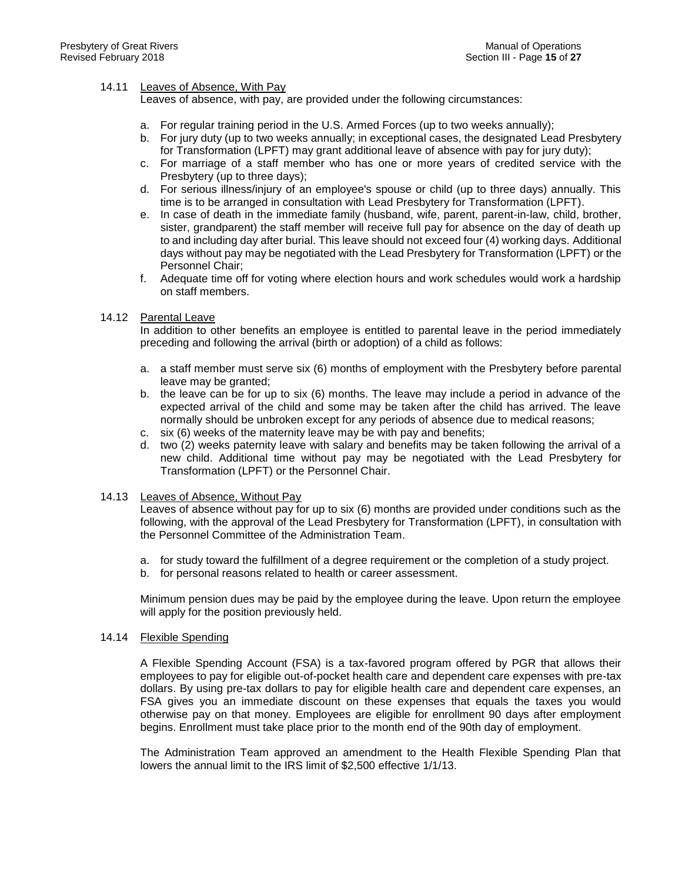# 14.11 Leaves of Absence, With Pay

Leaves of absence, with pay, are provided under the following circumstances:

- a. For regular training period in the U.S. Armed Forces (up to two weeks annually);
- b. For jury duty (up to two weeks annually; in exceptional cases, the designated Lead Presbytery for Transformation (LPFT) may grant additional leave of absence with pay for jury duty);
- c. For marriage of a staff member who has one or more years of credited service with the Presbytery (up to three days);
- d. For serious illness/injury of an employee's spouse or child (up to three days) annually. This time is to be arranged in consultation with Lead Presbytery for Transformation (LPFT).
- e. In case of death in the immediate family (husband, wife, parent, parent-in-law, child, brother, sister, grandparent) the staff member will receive full pay for absence on the day of death up to and including day after burial. This leave should not exceed four (4) working days. Additional days without pay may be negotiated with the Lead Presbytery for Transformation (LPFT) or the Personnel Chair;
- f. Adequate time off for voting where election hours and work schedules would work a hardship on staff members.

# 14.12 Parental Leave

In addition to other benefits an employee is entitled to parental leave in the period immediately preceding and following the arrival (birth or adoption) of a child as follows:

- a. a staff member must serve six (6) months of employment with the Presbytery before parental leave may be granted;
- b. the leave can be for up to six (6) months. The leave may include a period in advance of the expected arrival of the child and some may be taken after the child has arrived. The leave normally should be unbroken except for any periods of absence due to medical reasons;
- c. six (6) weeks of the maternity leave may be with pay and benefits;
- d. two (2) weeks paternity leave with salary and benefits may be taken following the arrival of a new child. Additional time without pay may be negotiated with the Lead Presbytery for Transformation (LPFT) or the Personnel Chair.

# 14.13 Leaves of Absence, Without Pay

Leaves of absence without pay for up to six (6) months are provided under conditions such as the following, with the approval of the Lead Presbytery for Transformation (LPFT), in consultation with the Personnel Committee of the Administration Team.

- a. for study toward the fulfillment of a degree requirement or the completion of a study project.
- b. for personal reasons related to health or career assessment.

Minimum pension dues may be paid by the employee during the leave. Upon return the employee will apply for the position previously held.

#### 14.14 Flexible Spending

A Flexible Spending Account (FSA) is a tax-favored program offered by PGR that allows their employees to pay for eligible out-of-pocket health care and dependent care expenses with pre-tax dollars. By using pre-tax dollars to pay for eligible health care and dependent care expenses, an FSA gives you an immediate discount on these expenses that equals the taxes you would otherwise pay on that money. Employees are eligible for enrollment 90 days after employment begins. Enrollment must take place prior to the month end of the 90th day of employment.

The Administration Team approved an amendment to the Health Flexible Spending Plan that lowers the annual limit to the IRS limit of \$2,500 effective 1/1/13.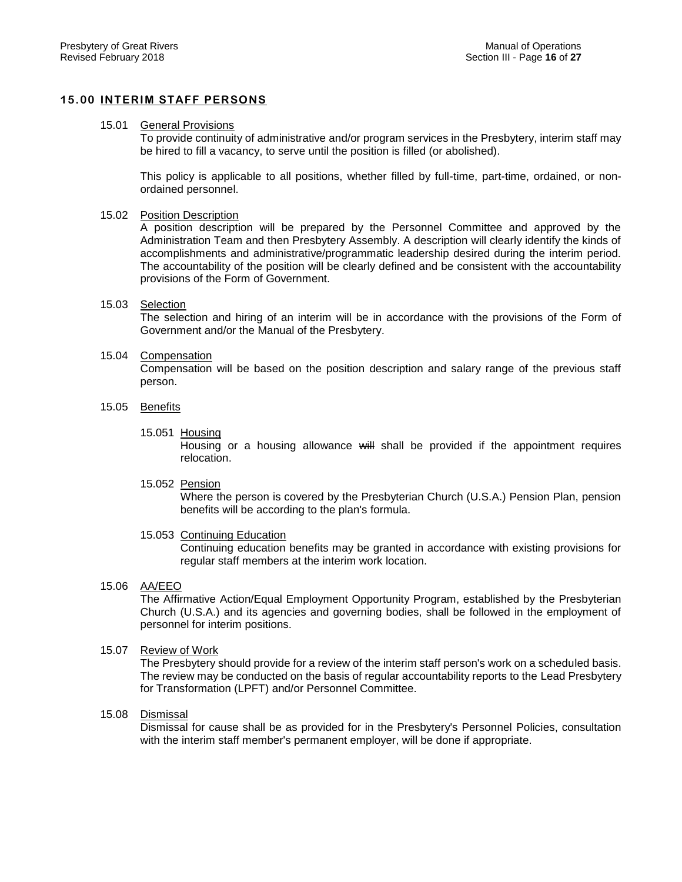# **15.00 INTERIM STAFF PERSONS**

#### 15.01 General Provisions

To provide continuity of administrative and/or program services in the Presbytery, interim staff may be hired to fill a vacancy, to serve until the position is filled (or abolished).

This policy is applicable to all positions, whether filled by full-time, part-time, ordained, or nonordained personnel.

#### 15.02 Position Description

A position description will be prepared by the Personnel Committee and approved by the Administration Team and then Presbytery Assembly. A description will clearly identify the kinds of accomplishments and administrative/programmatic leadership desired during the interim period. The accountability of the position will be clearly defined and be consistent with the accountability provisions of the Form of Government.

### 15.03 Selection

The selection and hiring of an interim will be in accordance with the provisions of the Form of Government and/or the Manual of the Presbytery.

### 15.04 Compensation

Compensation will be based on the position description and salary range of the previous staff person.

### 15.05 Benefits

### 15.051 Housing

Housing or a housing allowance will shall be provided if the appointment requires relocation.

#### 15.052 Pension

Where the person is covered by the Presbyterian Church (U.S.A.) Pension Plan, pension benefits will be according to the plan's formula.

# 15.053 Continuing Education

Continuing education benefits may be granted in accordance with existing provisions for regular staff members at the interim work location.

#### 15.06 AA/EEO

The Affirmative Action/Equal Employment Opportunity Program, established by the Presbyterian Church (U.S.A.) and its agencies and governing bodies, shall be followed in the employment of personnel for interim positions.

#### 15.07 Review of Work

The Presbytery should provide for a review of the interim staff person's work on a scheduled basis. The review may be conducted on the basis of regular accountability reports to the Lead Presbytery for Transformation (LPFT) and/or Personnel Committee.

#### 15.08 Dismissal

Dismissal for cause shall be as provided for in the Presbytery's Personnel Policies, consultation with the interim staff member's permanent employer, will be done if appropriate.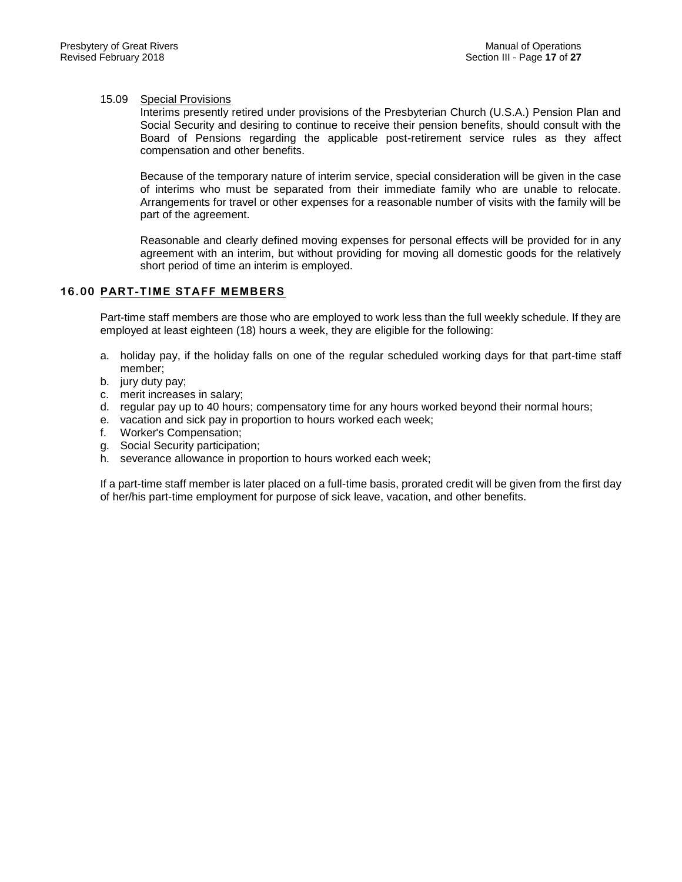#### 15.09 Special Provisions

Interims presently retired under provisions of the Presbyterian Church (U.S.A.) Pension Plan and Social Security and desiring to continue to receive their pension benefits, should consult with the Board of Pensions regarding the applicable post-retirement service rules as they affect compensation and other benefits.

Because of the temporary nature of interim service, special consideration will be given in the case of interims who must be separated from their immediate family who are unable to relocate. Arrangements for travel or other expenses for a reasonable number of visits with the family will be part of the agreement.

Reasonable and clearly defined moving expenses for personal effects will be provided for in any agreement with an interim, but without providing for moving all domestic goods for the relatively short period of time an interim is employed.

# **16.00 PART-TIME STAFF MEMBERS**

Part-time staff members are those who are employed to work less than the full weekly schedule. If they are employed at least eighteen (18) hours a week, they are eligible for the following:

- a. holiday pay, if the holiday falls on one of the regular scheduled working days for that part-time staff member;
- b. jury duty pay;
- c. merit increases in salary;
- d. regular pay up to 40 hours; compensatory time for any hours worked beyond their normal hours;
- e. vacation and sick pay in proportion to hours worked each week;
- f. Worker's Compensation;
- g. Social Security participation;
- h. severance allowance in proportion to hours worked each week;

If a part-time staff member is later placed on a full-time basis, prorated credit will be given from the first day of her/his part-time employment for purpose of sick leave, vacation, and other benefits.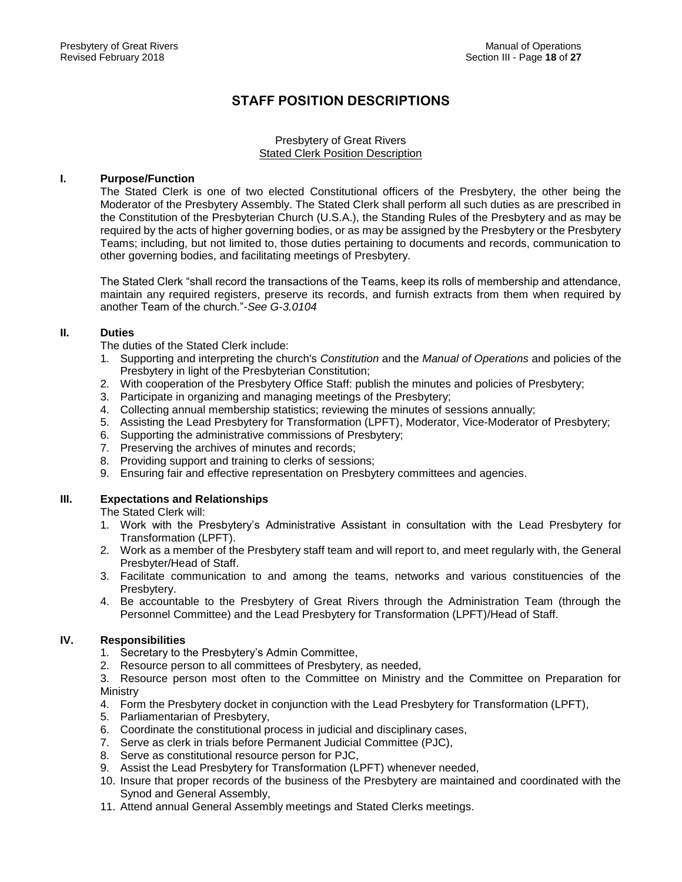# **STAFF POSITION DESCRIPTIONS**

## Presbytery of Great Rivers Stated Clerk Position Description

## **I. Purpose/Function**

The Stated Clerk is one of two elected Constitutional officers of the Presbytery, the other being the Moderator of the Presbytery Assembly. The Stated Clerk shall perform all such duties as are prescribed in the Constitution of the Presbyterian Church (U.S.A.), the Standing Rules of the Presbytery and as may be required by the acts of higher governing bodies, or as may be assigned by the Presbytery or the Presbytery Teams; including, but not limited to, those duties pertaining to documents and records, communication to other governing bodies, and facilitating meetings of Presbytery.

The Stated Clerk "shall record the transactions of the Teams, keep its rolls of membership and attendance, maintain any required registers, preserve its records, and furnish extracts from them when required by another Team of the church."-*See G-3.0104*

# **II. Duties**

The duties of the Stated Clerk include:

- 1. Supporting and interpreting the church's *Constitution* and the *Manual of Operations* and policies of the Presbytery in light of the Presbyterian Constitution;
- 2. With cooperation of the Presbytery Office Staff: publish the minutes and policies of Presbytery;
- 3. Participate in organizing and managing meetings of the Presbytery;
- 4. Collecting annual membership statistics; reviewing the minutes of sessions annually;
- 5. Assisting the Lead Presbytery for Transformation (LPFT), Moderator, Vice-Moderator of Presbytery;
- 6. Supporting the administrative commissions of Presbytery;
- 7. Preserving the archives of minutes and records;
- 8. Providing support and training to clerks of sessions;
- 9. Ensuring fair and effective representation on Presbytery committees and agencies.

# **III. Expectations and Relationships**

The Stated Clerk will:

- 1. Work with the Presbytery's Administrative Assistant in consultation with the Lead Presbytery for Transformation (LPFT).
- 2. Work as a member of the Presbytery staff team and will report to, and meet regularly with, the General Presbyter/Head of Staff.
- 3. Facilitate communication to and among the teams, networks and various constituencies of the Presbytery.
- 4. Be accountable to the Presbytery of Great Rivers through the Administration Team (through the Personnel Committee) and the Lead Presbytery for Transformation (LPFT)/Head of Staff.

# **IV. Responsibilities**

- 1. Secretary to the Presbytery's Admin Committee,
- 2. Resource person to all committees of Presbytery, as needed,

3. Resource person most often to the Committee on Ministry and the Committee on Preparation for Ministry

- 4. Form the Presbytery docket in conjunction with the Lead Presbytery for Transformation (LPFT),
- 5. Parliamentarian of Presbytery,
- 6. Coordinate the constitutional process in judicial and disciplinary cases,
- 7. Serve as clerk in trials before Permanent Judicial Committee (PJC),
- 8. Serve as constitutional resource person for PJC,
- 9. Assist the Lead Presbytery for Transformation (LPFT) whenever needed,
- 10. Insure that proper records of the business of the Presbytery are maintained and coordinated with the Synod and General Assembly,
- 11. Attend annual General Assembly meetings and Stated Clerks meetings.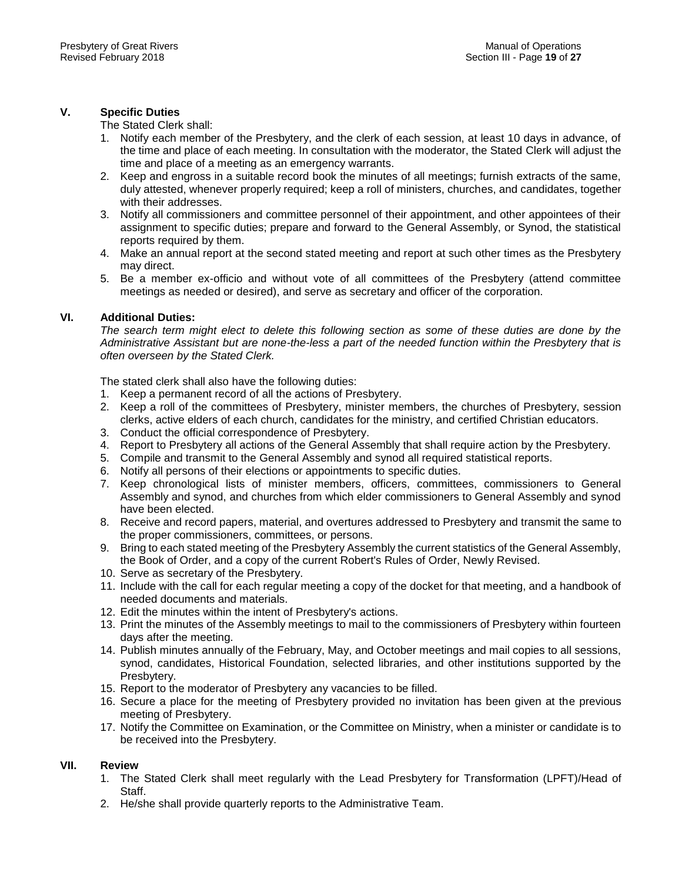# **V. Specific Duties**

The Stated Clerk shall:

- 1. Notify each member of the Presbytery, and the clerk of each session, at least 10 days in advance, of the time and place of each meeting. In consultation with the moderator, the Stated Clerk will adjust the time and place of a meeting as an emergency warrants.
- 2. Keep and engross in a suitable record book the minutes of all meetings; furnish extracts of the same, duly attested, whenever properly required; keep a roll of ministers, churches, and candidates, together with their addresses.
- 3. Notify all commissioners and committee personnel of their appointment, and other appointees of their assignment to specific duties; prepare and forward to the General Assembly, or Synod, the statistical reports required by them.
- 4. Make an annual report at the second stated meeting and report at such other times as the Presbytery may direct.
- 5. Be a member ex-officio and without vote of all committees of the Presbytery (attend committee meetings as needed or desired), and serve as secretary and officer of the corporation.

# **VI. Additional Duties:**

*The search term might elect to delete this following section as some of these duties are done by the Administrative Assistant but are none-the-less a part of the needed function within the Presbytery that is often overseen by the Stated Clerk.*

The stated clerk shall also have the following duties:

- 1. Keep a permanent record of all the actions of Presbytery.
- 2. Keep a roll of the committees of Presbytery, minister members, the churches of Presbytery, session clerks, active elders of each church, candidates for the ministry, and certified Christian educators.
- 3. Conduct the official correspondence of Presbytery.
- 4. Report to Presbytery all actions of the General Assembly that shall require action by the Presbytery.
- 5. Compile and transmit to the General Assembly and synod all required statistical reports.
- 6. Notify all persons of their elections or appointments to specific duties.
- 7. Keep chronological lists of minister members, officers, committees, commissioners to General Assembly and synod, and churches from which elder commissioners to General Assembly and synod have been elected.
- 8. Receive and record papers, material, and overtures addressed to Presbytery and transmit the same to the proper commissioners, committees, or persons.
- 9. Bring to each stated meeting of the Presbytery Assembly the current statistics of the General Assembly, the Book of Order, and a copy of the current Robert's Rules of Order, Newly Revised.
- 10. Serve as secretary of the Presbytery.
- 11. Include with the call for each regular meeting a copy of the docket for that meeting, and a handbook of needed documents and materials.
- 12. Edit the minutes within the intent of Presbytery's actions.
- 13. Print the minutes of the Assembly meetings to mail to the commissioners of Presbytery within fourteen days after the meeting.
- 14. Publish minutes annually of the February, May, and October meetings and mail copies to all sessions, synod, candidates, Historical Foundation, selected libraries, and other institutions supported by the Presbytery.
- 15. Report to the moderator of Presbytery any vacancies to be filled.
- 16. Secure a place for the meeting of Presbytery provided no invitation has been given at the previous meeting of Presbytery.
- 17. Notify the Committee on Examination, or the Committee on Ministry, when a minister or candidate is to be received into the Presbytery.

# **VII. Review**

- 1. The Stated Clerk shall meet regularly with the Lead Presbytery for Transformation (LPFT)/Head of **Staff**
- 2. He/she shall provide quarterly reports to the Administrative Team.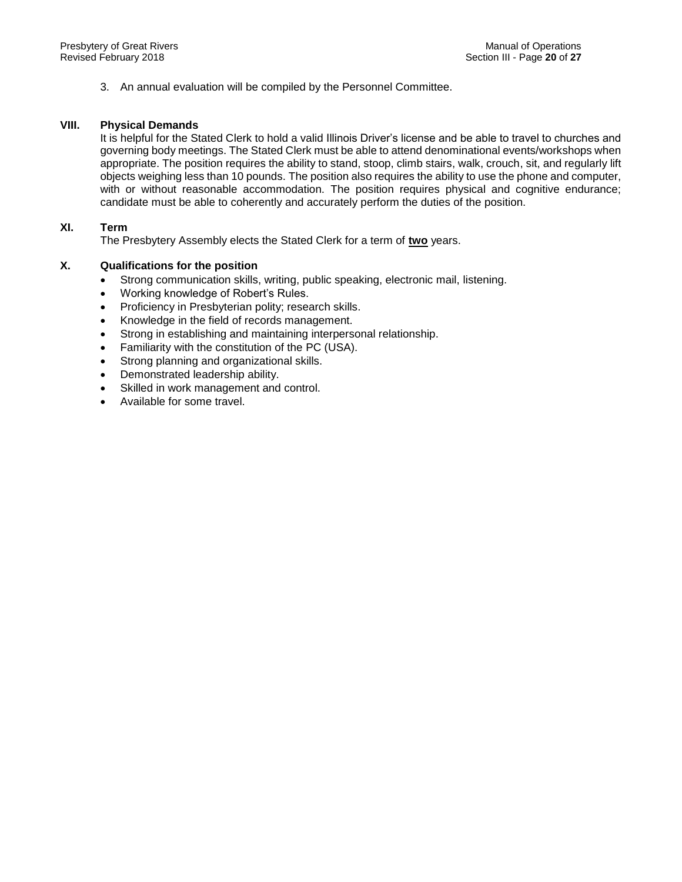3. An annual evaluation will be compiled by the Personnel Committee.

# **VIII. Physical Demands**

It is helpful for the Stated Clerk to hold a valid Illinois Driver's license and be able to travel to churches and governing body meetings. The Stated Clerk must be able to attend denominational events/workshops when appropriate. The position requires the ability to stand, stoop, climb stairs, walk, crouch, sit, and regularly lift objects weighing less than 10 pounds. The position also requires the ability to use the phone and computer, with or without reasonable accommodation. The position requires physical and cognitive endurance; candidate must be able to coherently and accurately perform the duties of the position.

# **XI. Term**

The Presbytery Assembly elects the Stated Clerk for a term of **two** years.

# **X. Qualifications for the position**

- Strong communication skills, writing, public speaking, electronic mail, listening.
- Working knowledge of Robert's Rules.
- Proficiency in Presbyterian polity; research skills.
- Knowledge in the field of records management.
- Strong in establishing and maintaining interpersonal relationship.
- Familiarity with the constitution of the PC (USA).
- Strong planning and organizational skills.
- Demonstrated leadership ability.
- Skilled in work management and control.
- Available for some travel.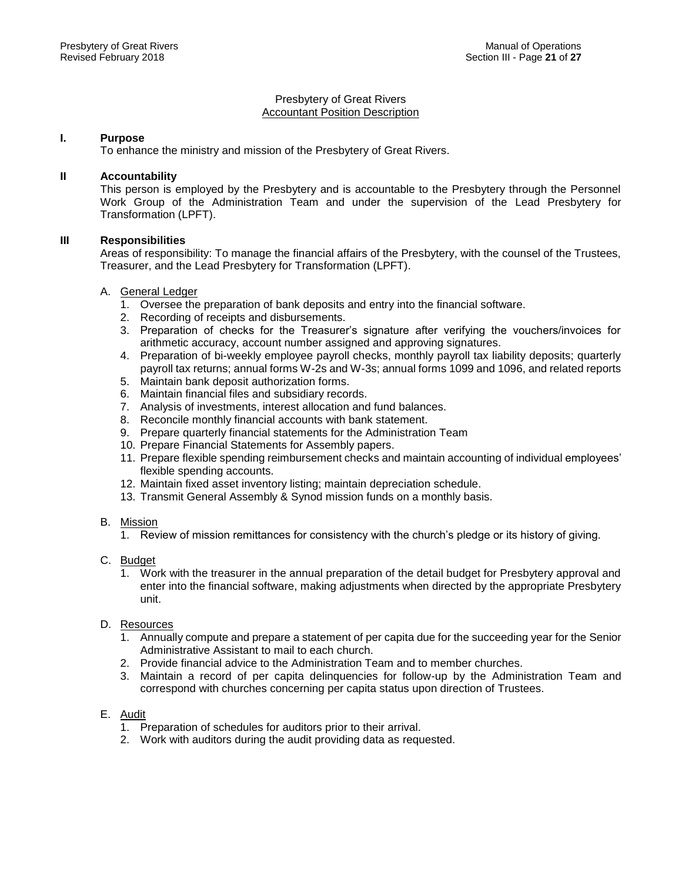#### Presbytery of Great Rivers Accountant Position Description

# **I. Purpose**

To enhance the ministry and mission of the Presbytery of Great Rivers.

## **II Accountability**

This person is employed by the Presbytery and is accountable to the Presbytery through the Personnel Work Group of the Administration Team and under the supervision of the Lead Presbytery for Transformation (LPFT).

# **III Responsibilities**

Areas of responsibility: To manage the financial affairs of the Presbytery, with the counsel of the Trustees, Treasurer, and the Lead Presbytery for Transformation (LPFT).

### A. General Ledger

- 1. Oversee the preparation of bank deposits and entry into the financial software.
- 2. Recording of receipts and disbursements.
- 3. Preparation of checks for the Treasurer's signature after verifying the vouchers/invoices for arithmetic accuracy, account number assigned and approving signatures.
- 4. Preparation of bi-weekly employee payroll checks, monthly payroll tax liability deposits; quarterly payroll tax returns; annual forms W-2s and W-3s; annual forms 1099 and 1096, and related reports
- 5. Maintain bank deposit authorization forms.
- 6. Maintain financial files and subsidiary records.
- 7. Analysis of investments, interest allocation and fund balances.
- 8. Reconcile monthly financial accounts with bank statement.
- 9. Prepare quarterly financial statements for the Administration Team
- 10. Prepare Financial Statements for Assembly papers.
- 11. Prepare flexible spending reimbursement checks and maintain accounting of individual employees' flexible spending accounts.
- 12. Maintain fixed asset inventory listing; maintain depreciation schedule.
- 13. Transmit General Assembly & Synod mission funds on a monthly basis.
- B. Mission
	- 1. Review of mission remittances for consistency with the church's pledge or its history of giving.
- C. Budget
	- 1. Work with the treasurer in the annual preparation of the detail budget for Presbytery approval and enter into the financial software, making adjustments when directed by the appropriate Presbytery unit.
- D. Resources
	- 1. Annually compute and prepare a statement of per capita due for the succeeding year for the Senior Administrative Assistant to mail to each church.
	- 2. Provide financial advice to the Administration Team and to member churches.
	- 3. Maintain a record of per capita delinquencies for follow-up by the Administration Team and correspond with churches concerning per capita status upon direction of Trustees.

# E. Audit

- 1. Preparation of schedules for auditors prior to their arrival.
- 2. Work with auditors during the audit providing data as requested.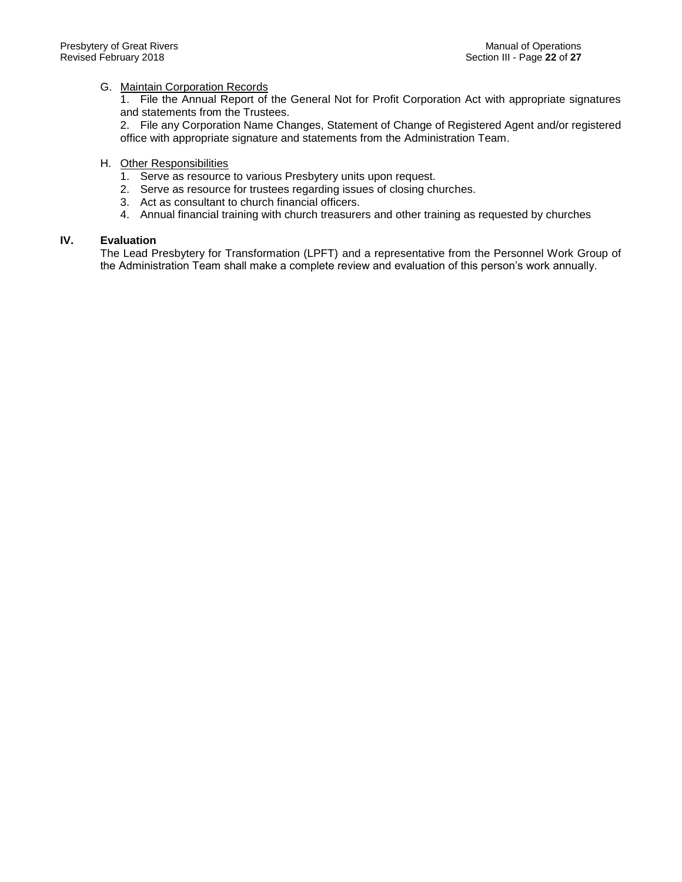# G. Maintain Corporation Records

1. File the Annual Report of the General Not for Profit Corporation Act with appropriate signatures and statements from the Trustees.

2. File any Corporation Name Changes, Statement of Change of Registered Agent and/or registered office with appropriate signature and statements from the Administration Team.

# H. Other Responsibilities

- 1. Serve as resource to various Presbytery units upon request.
- 2. Serve as resource for trustees regarding issues of closing churches.
- 3. Act as consultant to church financial officers.
- 4. Annual financial training with church treasurers and other training as requested by churches

## **IV. Evaluation**

The Lead Presbytery for Transformation (LPFT) and a representative from the Personnel Work Group of the Administration Team shall make a complete review and evaluation of this person's work annually.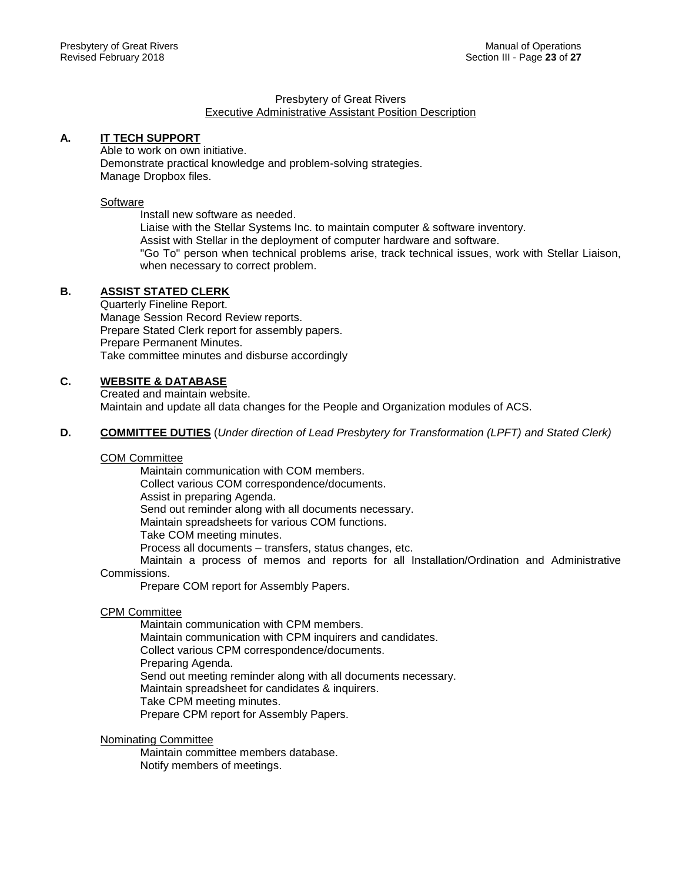#### Presbytery of Great Rivers Executive Administrative Assistant Position Description

# **A. IT TECH SUPPORT**

Able to work on own initiative. Demonstrate practical knowledge and problem-solving strategies. Manage Dropbox files.

# **Software**

Install new software as needed. Liaise with the Stellar Systems Inc. to maintain computer & software inventory. Assist with Stellar in the deployment of computer hardware and software. "Go To" person when technical problems arise, track technical issues, work with Stellar Liaison, when necessary to correct problem.

# **B. ASSIST STATED CLERK**

Quarterly Fineline Report. Manage Session Record Review reports. Prepare Stated Clerk report for assembly papers. Prepare Permanent Minutes. Take committee minutes and disburse accordingly

# **C. WEBSITE & DATABASE**

Created and maintain website. Maintain and update all data changes for the People and Organization modules of ACS.

**D. COMMITTEE DUTIES** (*Under direction of Lead Presbytery for Transformation (LPFT) and Stated Clerk)*

#### COM Committee

Maintain communication with COM members. Collect various COM correspondence/documents. Assist in preparing Agenda. Send out reminder along with all documents necessary. Maintain spreadsheets for various COM functions. Take COM meeting minutes. Process all documents – transfers, status changes, etc. Maintain a process of memos and reports for all Installation/Ordination and Administrative

#### Commissions.

Prepare COM report for Assembly Papers.

#### CPM Committee

Maintain communication with CPM members. Maintain communication with CPM inquirers and candidates. Collect various CPM correspondence/documents. Preparing Agenda. Send out meeting reminder along with all documents necessary. Maintain spreadsheet for candidates & inquirers. Take CPM meeting minutes. Prepare CPM report for Assembly Papers.

# Nominating Committee

Maintain committee members database. Notify members of meetings.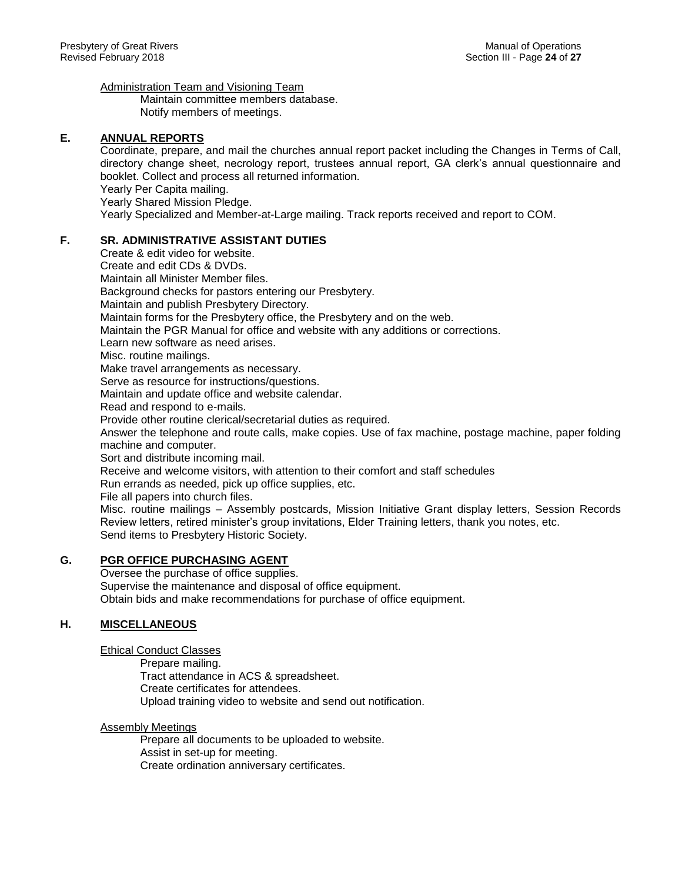Administration Team and Visioning Team

Maintain committee members database. Notify members of meetings.

# **E. ANNUAL REPORTS**

Coordinate, prepare, and mail the churches annual report packet including the Changes in Terms of Call, directory change sheet, necrology report, trustees annual report, GA clerk's annual questionnaire and booklet. Collect and process all returned information. Yearly Per Capita mailing.

Yearly Shared Mission Pledge.

Yearly Specialized and Member-at-Large mailing. Track reports received and report to COM.

# **F. SR. ADMINISTRATIVE ASSISTANT DUTIES**

Create & edit video for website. Create and edit CDs & DVDs. Maintain all Minister Member files. Background checks for pastors entering our Presbytery. Maintain and publish Presbytery Directory. Maintain forms for the Presbytery office, the Presbytery and on the web. Maintain the PGR Manual for office and website with any additions or corrections. Learn new software as need arises. Misc. routine mailings. Make travel arrangements as necessary. Serve as resource for instructions/questions. Maintain and update office and website calendar. Read and respond to e-mails. Provide other routine clerical/secretarial duties as required. Answer the telephone and route calls, make copies. Use of fax machine, postage machine, paper folding machine and computer. Sort and distribute incoming mail. Receive and welcome visitors, with attention to their comfort and staff schedules Run errands as needed, pick up office supplies, etc. File all papers into church files. Misc. routine mailings – Assembly postcards, Mission Initiative Grant display letters, Session Records Review letters, retired minister's group invitations, Elder Training letters, thank you notes, etc.

Send items to Presbytery Historic Society.

# **G. PGR OFFICE PURCHASING AGENT**

Oversee the purchase of office supplies. Supervise the maintenance and disposal of office equipment. Obtain bids and make recommendations for purchase of office equipment.

# **H. MISCELLANEOUS**

Ethical Conduct Classes

Prepare mailing. Tract attendance in ACS & spreadsheet. Create certificates for attendees. Upload training video to website and send out notification.

# Assembly Meetings

Prepare all documents to be uploaded to website. Assist in set-up for meeting. Create ordination anniversary certificates.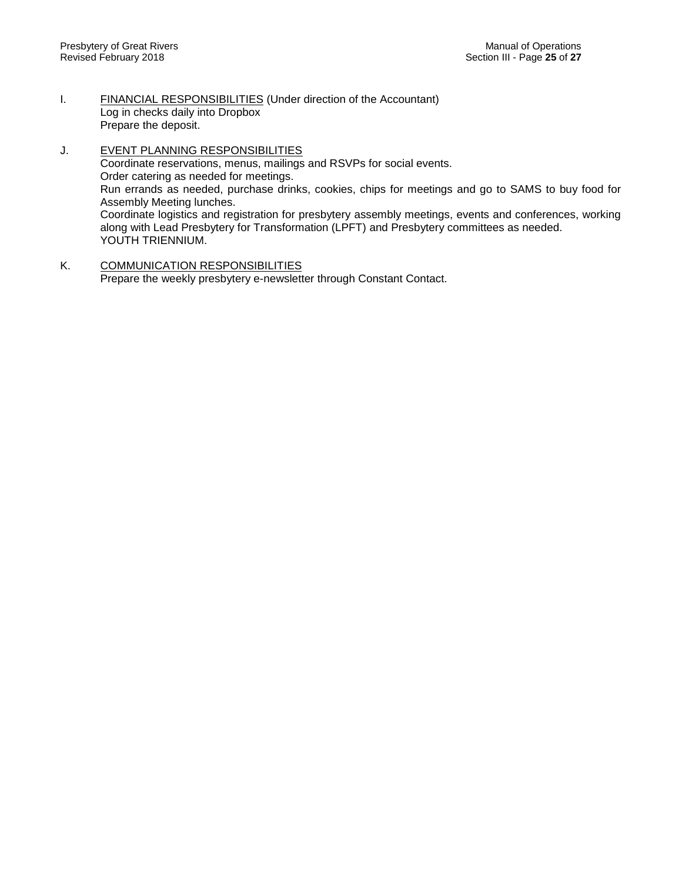- I. FINANCIAL RESPONSIBILITIES (Under direction of the Accountant) Log in checks daily into Dropbox Prepare the deposit.
- J. **EVENT PLANNING RESPONSIBILITIES** Coordinate reservations, menus, mailings and RSVPs for social events. Order catering as needed for meetings. Run errands as needed, purchase drinks, cookies, chips for meetings and go to SAMS to buy food for Assembly Meeting lunches. Coordinate logistics and registration for presbytery assembly meetings, events and conferences, working along with Lead Presbytery for Transformation (LPFT) and Presbytery committees as needed. YOUTH TRIENNIUM.
- K. COMMUNICATION RESPONSIBILITIES Prepare the weekly presbytery e-newsletter through Constant Contact.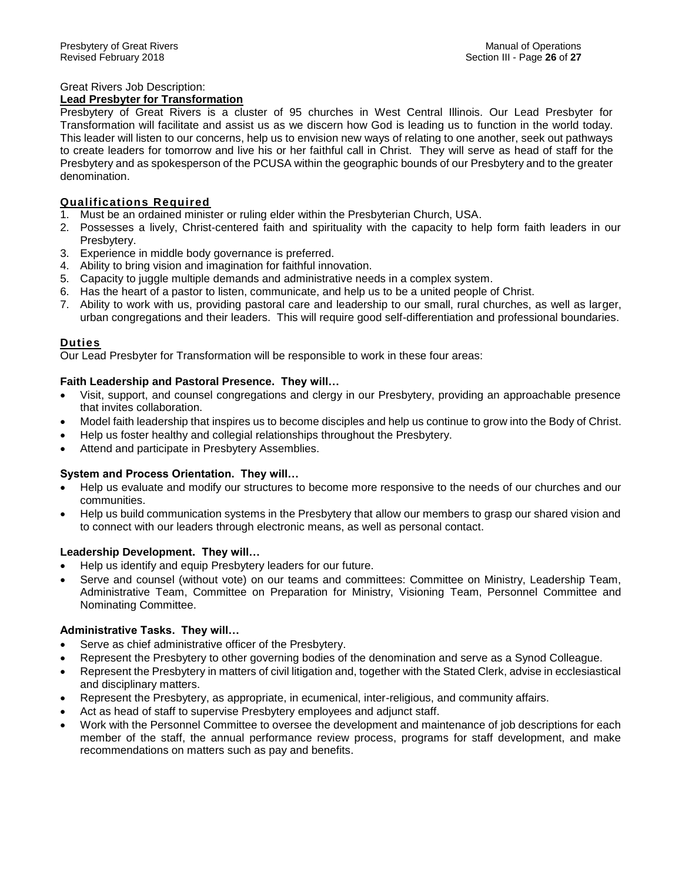# Great Rivers Job Description:

# **Lead Presbyter for Transformation**

Presbytery of Great Rivers is a cluster of 95 churches in West Central Illinois. Our Lead Presbyter for Transformation will facilitate and assist us as we discern how God is leading us to function in the world today. This leader will listen to our concerns, help us to envision new ways of relating to one another, seek out pathways to create leaders for tomorrow and live his or her faithful call in Christ. They will serve as head of staff for the Presbytery and as spokesperson of the PCUSA within the geographic bounds of our Presbytery and to the greater denomination.

# **Qualifications Required**

- 1. Must be an ordained minister or ruling elder within the Presbyterian Church, USA.
- 2. Possesses a lively, Christ-centered faith and spirituality with the capacity to help form faith leaders in our Presbytery.
- 3. Experience in middle body governance is preferred.
- 4. Ability to bring vision and imagination for faithful innovation.
- 5. Capacity to juggle multiple demands and administrative needs in a complex system.
- 6. Has the heart of a pastor to listen, communicate, and help us to be a united people of Christ.
- 7. Ability to work with us, providing pastoral care and leadership to our small, rural churches, as well as larger, urban congregations and their leaders. This will require good self-differentiation and professional boundaries.

# **Duties**

Our Lead Presbyter for Transformation will be responsible to work in these four areas:

# **Faith Leadership and Pastoral Presence. They will…**

- Visit, support, and counsel congregations and clergy in our Presbytery, providing an approachable presence that invites collaboration.
- Model faith leadership that inspires us to become disciples and help us continue to grow into the Body of Christ.
- Help us foster healthy and collegial relationships throughout the Presbytery.
- Attend and participate in Presbytery Assemblies.

# **System and Process Orientation. They will…**

- Help us evaluate and modify our structures to become more responsive to the needs of our churches and our communities.
- Help us build communication systems in the Presbytery that allow our members to grasp our shared vision and to connect with our leaders through electronic means, as well as personal contact.

# **Leadership Development. They will…**

- Help us identify and equip Presbytery leaders for our future.
- Serve and counsel (without vote) on our teams and committees: Committee on Ministry, Leadership Team, Administrative Team, Committee on Preparation for Ministry, Visioning Team, Personnel Committee and Nominating Committee.

# **Administrative Tasks. They will…**

- Serve as chief administrative officer of the Presbytery.
- Represent the Presbytery to other governing bodies of the denomination and serve as a Synod Colleague.
- Represent the Presbytery in matters of civil litigation and, together with the Stated Clerk, advise in ecclesiastical and disciplinary matters.
- Represent the Presbytery, as appropriate, in ecumenical, inter-religious, and community affairs.
- Act as head of staff to supervise Presbytery employees and adjunct staff.
- Work with the Personnel Committee to oversee the development and maintenance of job descriptions for each member of the staff, the annual performance review process, programs for staff development, and make recommendations on matters such as pay and benefits.